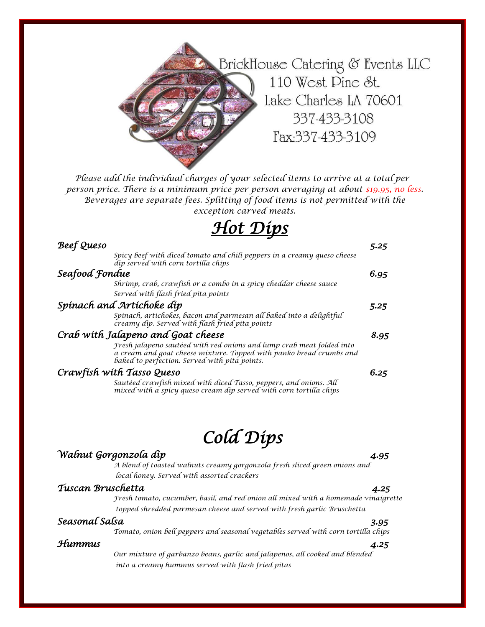

*Please add the individual charges of your selected items to arrive at a total per person price. There is a minimum price per person averaging at about \$19.95, no less. Beverages are separate fees. Splitting of food items is not permitted with the exception carved meats.*

# *Hot Dips*

| Beef Queso                |                                                                                                                                                                                               | 5.25 |
|---------------------------|-----------------------------------------------------------------------------------------------------------------------------------------------------------------------------------------------|------|
|                           | Spicy beef with diced tomato and chili peppers in a creamy queso cheese<br>dip served with corn tortilla chips                                                                                |      |
| Seafood Fondue            |                                                                                                                                                                                               | 6.95 |
|                           | Shrimp, crab, crawfish or a combo in a spicy cheddar cheese sauce                                                                                                                             |      |
|                           | Served with flash fried pita points                                                                                                                                                           |      |
|                           | Spínach and Artíchoke díp                                                                                                                                                                     |      |
|                           | Spinach, artichokes, bacon and parmesan all baked into a delightful<br>creamy dip. Served with flash fried pita points                                                                        |      |
|                           | Crab with Jalapeno and Goat cheese                                                                                                                                                            | 8.95 |
|                           | Fresh jalapeno sautéed with red onions and lump crab meat folded into<br>a cream and goat cheese mixture. Topped with panko bread crumbs and<br>baked to perfection. Served with pita points. |      |
| Crawfísh wíth Tasso Queso |                                                                                                                                                                                               | 6.25 |
|                           | Sautéed crawfish mixed with diced Tasso, peppers, and onions. All<br>mixed with a spicy queso cream dip served with corn tortilla chips                                                       |      |
|                           |                                                                                                                                                                                               |      |

## *Cold Dips*

### *Walnut Gorgonzola dip 4.95*

*A blend of toasted walnuts creamy gorgonzola fresh sliced green onions and local honey. Served with assorted crackers* 

#### *Tuscan Bruschetta 4.25*

*Fresh tomato, cucumber, basil, and red onion all mixed with a homemade vinaigrette topped shredded parmesan cheese and served with fresh garlic Bruschetta*

### *Seasonal Salsa 3.95*

*Tomato, onion bell peppers and seasonal vegetables served with corn tortilla chips* 

## *Hummus 4.25*

*Our mixture of garbanzo beans, garlic and jalapenos, all cooked and blended into a creamy hummus served with flash fried pitas*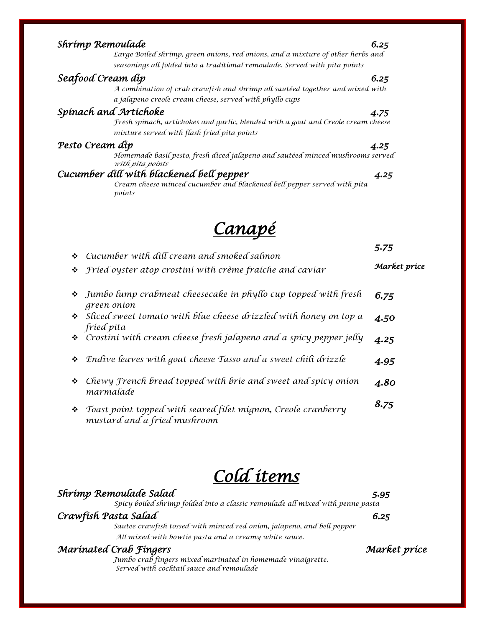| Shrimp Remoulade  |                                                                                                                                          | 6.25 |
|-------------------|------------------------------------------------------------------------------------------------------------------------------------------|------|
|                   | Large Boiled shrimp, green onions, red onions, and a mixture of other herbs and                                                          |      |
|                   | seasonings all folded into a traditional remoulade. Served with pita points                                                              |      |
| Seafood Cream dip |                                                                                                                                          | 6.25 |
|                   | A combination of crab crawfish and shrimp all sauteed together and mixed with<br>a jalapeno creole cream cheese, served with phyllo cups |      |
|                   | Spinach and Artichoke                                                                                                                    | 4.75 |
|                   | Fresh spinach, artichokes and garlic, blended with a goat and Creole cream cheese<br>mixture served with flash fried pita points         |      |
| Pesto Cream díp   |                                                                                                                                          | 4.25 |
|                   | Homemade basil pesto, fresh diced jalapeno and sautéed minced mushrooms served<br>with pita points                                       |      |
|                   | Cucumber dill with blackened bell pepper                                                                                                 | 4.25 |
|                   | Cream cheese minced cucumber and blackened bell pepper served with pita<br>points                                                        |      |
|                   | <u>Canapé</u>                                                                                                                            |      |

|   | $\div$ Cucumber with dill cream and smoked salmon<br>❖ <i>fried</i> oyster atop crostini with crème fraiche and caviar | J'I J<br>Market príce |
|---|------------------------------------------------------------------------------------------------------------------------|-----------------------|
|   | • Jumbo lump crabmeat cheesecake in phyllo cup topped with fresh<br>green onion                                        | 6.75                  |
|   | Sliced sweet tomato with blue cheese drizzled with honey on top a<br>fried pita                                        | 4.50                  |
|   | * Crostini with cream cheese fresh jalapeno and a spicy pepper jelly                                                   | 4.25                  |
| ❖ | Endive leaves with goat cheese Tasso and a sweet chili drizzle                                                         | 4.95                  |
| ❖ | Chewy French bread topped with brie and sweet and spicy onion<br>marmalade                                             | 4.80                  |
| 樂 | Toast point topped with seared filet mignon, Creole cranberry                                                          | 8.75                  |

*Cold items* 

### *Shrimp Remoulade Salad 5.95 Spicy boiled shrimp folded into a classic remoulade all mixed with penne pasta*

*mustard and a fried mushroom* 

*Crawfish Pasta Salad 6.25 Sautee crawfish tossed with minced red onion, jalapeno, and bell pepper All mixed with bowtie pasta and a creamy white sauce.* 

## *Marinated Crab Fingers Market price*

*Jumbo crab fingers mixed marinated in homemade vinaigrette. Served with cocktail sauce and remoulade* 

*5.75*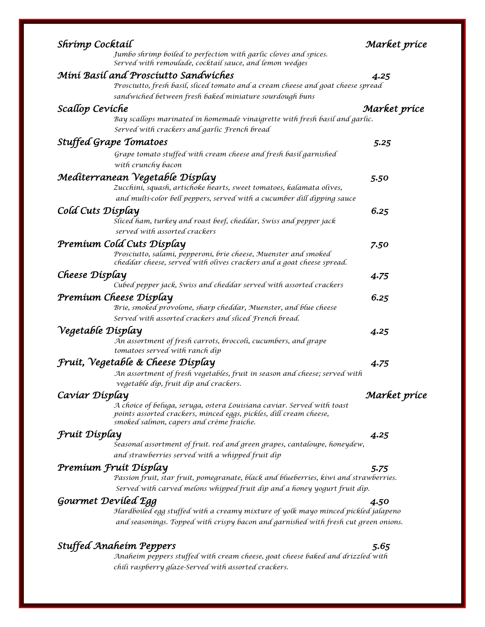| Shrímp Cocktaíl                                                                                                                                                                          | Market príce |
|------------------------------------------------------------------------------------------------------------------------------------------------------------------------------------------|--------------|
| Jumbo shrimp boiled to perfection with garlic cloves and spices.<br>Served with remoulade, cocktail sauce, and lemon wedges                                                              |              |
| Mini Basil and Prosciutto Sandwiches                                                                                                                                                     | 4.25         |
| Prosciutto, fresh basil, sliced tomato and a cream cheese and goat cheese spread                                                                                                         |              |
| sandwiched between fresh baked miniature sourdough buns                                                                                                                                  |              |
| Scallop Cevíche                                                                                                                                                                          | Market príce |
| Bay scallops marinated in homemade vinaigrette with fresh basil and garlic.                                                                                                              |              |
| Served with crackers and garlic French bread                                                                                                                                             |              |
| <b>Stuffed Grape Tomatoes</b>                                                                                                                                                            | 5.25         |
| Grape tomato stuffed with cream cheese and fresh basil garnished                                                                                                                         |              |
| with crunchy bacon                                                                                                                                                                       |              |
| Medíterranean Vegetable Dísplay                                                                                                                                                          | 5.50         |
| Zucchini, squash, artichoke hearts, sweet tomatoes, kalamata olives,                                                                                                                     |              |
| and multi-color bell peppers, served with a cucumber dill dipping sauce                                                                                                                  |              |
| Cold Cuts Display                                                                                                                                                                        | 6.25         |
| Sliced ham, turkey and roast beef, cheddar, Swiss and pepper jack                                                                                                                        |              |
| served with assorted crackers                                                                                                                                                            |              |
| Premíum Cold Cuts Dísplay                                                                                                                                                                | 7.50         |
| Prosciutto, salami, pepperoni, brie cheese, Muenster and smoked<br>cheddar cheese, served with olives crackers and a goat cheese spread.                                                 |              |
| Cheese Display                                                                                                                                                                           | 4.75         |
| Cubed pepper jack, Swiss and cheddar served with assorted crackers                                                                                                                       |              |
| Premíum Cheese Dísplay                                                                                                                                                                   | 6.25         |
| Brie, smoked provolone, sharp cheddar, Muenster, and blue cheese                                                                                                                         |              |
| Served with assorted crackers and sliced French bread.                                                                                                                                   |              |
| Vegetable Display                                                                                                                                                                        | 4.25         |
| An assortment of fresh carrots, broccoli, cucumbers, and grape                                                                                                                           |              |
| tomatoes served with ranch dip                                                                                                                                                           |              |
| Fruit, Vegetable & Cheese Display                                                                                                                                                        | 4.75         |
| An assortment of fresh vegetables, fruit in season and cheese; served with                                                                                                               |              |
| vegetable dip, fruit dip and crackers.                                                                                                                                                   |              |
| Cavíar Dísplay                                                                                                                                                                           | Market príce |
| A choice of beluga, seruga, ostera Louisiana caviar. Served with toast<br>points assorted crackers, minced eggs, pickles, dill cream cheese,<br>smoked salmon, capers and crème fraiche. |              |
| Fruit Display                                                                                                                                                                            | 4.25         |
| Seasonal assortment of fruit. red and green grapes, cantaloupe, honeydew,                                                                                                                |              |
| and strawberries served with a whipped fruit dip                                                                                                                                         |              |
| Premíum Fruít Dísplay                                                                                                                                                                    | 5.75         |
| Passion fruit, star fruit, pomegranate, black and blueberries, kiwi and strawberries.                                                                                                    |              |
| Served with carved melons whipped fruit dip and a honey yogurt fruit dip.                                                                                                                |              |
| Gourmet Deviled Egg                                                                                                                                                                      | 4.50         |
| Hardboiled egg stuffed with a creamy mixture of yolk mayo minced pickled jalapeno                                                                                                        |              |
| and seasonings. Topped with crispy bacon and garnished with fresh cut green onions.                                                                                                      |              |
|                                                                                                                                                                                          |              |
| <b>Stuffed Anaheim Peppers</b><br>Anaheim peppers stuffed with cream cheese, goat cheese baked and drizzled with                                                                         | 5.65         |
| chili raspberry glaze-Served with assorted crackers.                                                                                                                                     |              |
|                                                                                                                                                                                          |              |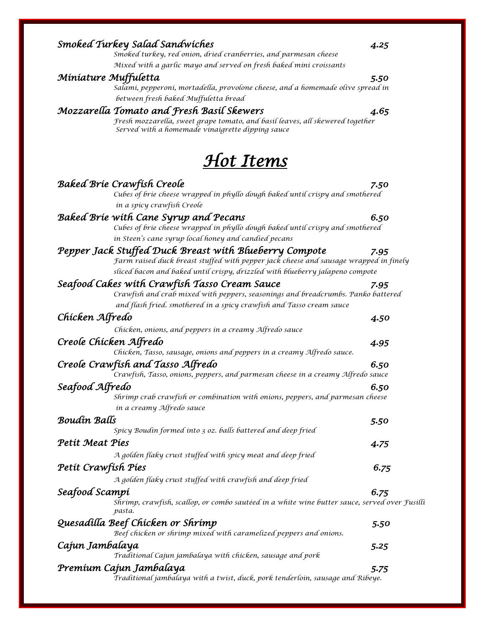| onnuutui 6 onni juuttu<br>Salami, pepperoni, mortadella, provolone cheese, and a homemade olive spread in                                                                                                 | .    |
|-----------------------------------------------------------------------------------------------------------------------------------------------------------------------------------------------------------|------|
| between fresh baked Muffuletta bread                                                                                                                                                                      |      |
| Mozzarella Tomato and Fresh Basil Skewers<br>Fresh mozzarella, sweet grape tomato, and basil leaves, all skewered together<br>Served with a homemade vinaigrette dipping sauce                            | 4.65 |
| <b>Hot Items</b>                                                                                                                                                                                          |      |
| <b>Baked Brie Crawfish Creole</b>                                                                                                                                                                         | 7.50 |
| Cubes of brie cheese wrapped in phyllo dough baked until crispy and smothered<br>in a spicy crawfish Creole                                                                                               |      |
| Baked Brie with Cane Syrup and Pecans                                                                                                                                                                     | 6.50 |
| Cubes of brie cheese wrapped in phyllo dough baked until crispy and smothered<br>in Steen's cane syrup local honey and candied pecans                                                                     |      |
| Pepper Jack Stuffed Duck Breast with Blueberry Compote<br>Farm raised duck breast stuffed with pepper jack cheese and sausage wrapped in finely                                                           | 7.95 |
| sliced bacon and baked until crispy, drizzled with blueberry jalapeno compote                                                                                                                             |      |
| Seafood Cakes with Crawfish Tasso Cream Sauce<br>Crawfish and crab mixed with peppers, seasonings and breadcrumbs. Panko battered<br>and flash fried. smothered in a spicy crawfish and Tasso cream sauce | 7.95 |
| Chicken Alfredo                                                                                                                                                                                           | 4.50 |
| Chicken, onions, and peppers in a creamy Alfredo sauce                                                                                                                                                    |      |
| Creole Chicken Alfredo<br>Chicken, Tasso, sausage, onions and peppers in a creamy Alfredo sauce.                                                                                                          | 4.95 |
| Creole Crawfish and Tasso Alfredo                                                                                                                                                                         | 6.50 |
| Crawfish, Tasso, onions, peppers, and parmesan cheese in a creamy Alfredo sauce                                                                                                                           |      |
| Seafood Alfredo                                                                                                                                                                                           | 6.50 |
| Shrimp crab crawfish or combination with onions, peppers, and parmesan cheese<br>in a creamy Alfredo sauce                                                                                                |      |
| Boudín Balls<br>Spicy Boudin formed into 3 oz. balls battered and deep fried                                                                                                                              | 5.50 |
| Petít Meat Pies                                                                                                                                                                                           | 4.75 |
| A golden flaky crust stuffed with spicy meat and deep fried                                                                                                                                               |      |
| Petít Crawfísh Píes                                                                                                                                                                                       | 6.75 |
| A golden flaky crust stuffed with crawfish and deep fried                                                                                                                                                 |      |
| Seafood Scampi<br>Shrimp, crawfish, scallop, or combo sautéed in a white wine butter sauce, served over Fusilli                                                                                           | 6.75 |
| pasta.                                                                                                                                                                                                    |      |
| Quesadílla Beef Chícken or Shrímp<br>Beef chicken or shrimp mixed with caramelized peppers and onions.                                                                                                    | 5.50 |
| Cajun Jambalaya                                                                                                                                                                                           | 5.25 |
| Traditional Cajun jambalaya with chicken, sausage and pork                                                                                                                                                |      |
| Premíum Cajun Jambalaya<br>Traditional jambalaya with a twist, duck, pork tenderloin, sausage and Ribeye.                                                                                                 | 5.75 |

#### *Smoked Turkey Salad Sandwiches 4.25*

*Smoked turkey, red onion, dried cranberries, and parmesan cheese Mixed with a garlic mayo and served on fresh baked mini croissants* 

### *Miniature Muffuletta 5.50*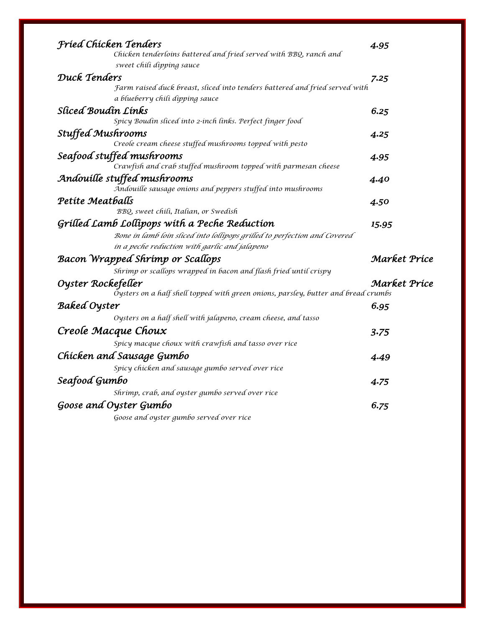| <b>Fried Chicken Tenders</b>                                                       | 4.95         |
|------------------------------------------------------------------------------------|--------------|
| Chicken tenderloins battered and fried served with BBQ, ranch and                  |              |
| sweet chili dipping sauce                                                          |              |
| Duck Tenders                                                                       | 7.25         |
| Farm raised duck breast, sliced into tenders battered and fried served with        |              |
| a blueberry chili dipping sauce                                                    |              |
| Slíced Boudín Línks                                                                | 6.25         |
| Spicy Boudin sliced into 2-inch links. Perfect finger food                         |              |
| <b>Stuffed Mushrooms</b>                                                           | 4.25         |
| Creole cream cheese stuffed mushrooms topped with pesto                            |              |
| Seafood stuffed mushrooms                                                          | 4.95         |
| Crawfish and crab stuffed mushroom topped with parmesan cheese                     |              |
| Andouille stuffed mushrooms                                                        | 4.40         |
| Andouille sausage onions and peppers stuffed into mushrooms                        |              |
| Petite Meatballs                                                                   | 4.50         |
| BBQ, sweet chili, Italian, or Swedish                                              |              |
| Grilled Lamb Lollipops with a Peche Reduction                                      | 15.95        |
| Bone in lamb loin sliced into lollipops grilled to perfection and Covered          |              |
| in a peche reduction with garlic and jalapeno                                      |              |
| <b>Bacon Wrapped Shrimp or Scallops</b>                                            | Market Príce |
| Shrimp or scallops wrapped in bacon and flash fried until crispy                   |              |
| Oyster Rockefeller                                                                 | Market Príce |
| Oysters on a half shell topped with green onions, parsley, butter and bread crumbs |              |
| <b>Baked Oyster</b>                                                                | 6.95         |
| Oysters on a half shell with jalapeno, cream cheese, and tasso                     |              |
| Creole Macque Choux                                                                | 3.75         |
| Spicy macque choux with crawfish and tasso over rice                               |              |
| Chicken and Sausage Gumbo                                                          |              |
|                                                                                    | 4.49         |
| Spicy chicken and sausage gumbo served over rice                                   |              |
| Seafood Gumbo                                                                      | 4.75         |
| Shrimp, crab, and oyster gumbo served over rice                                    |              |
| Goose and Oyster Gumbo                                                             | 6.75         |
| Goose and oyster gumbo served over rice                                            |              |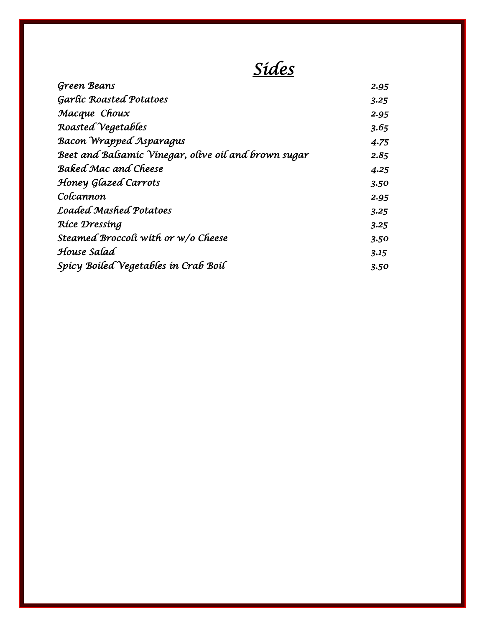# *Sides*

| <b>Green Beans</b>                                   | 2.95 |
|------------------------------------------------------|------|
| <b>Garlic Roasted Potatoes</b>                       | 3.25 |
| Macque Choux                                         | 2.95 |
| Roasted Vegetables                                   | 3.65 |
| <b>Bacon Wrapped Asparagus</b>                       | 4.75 |
| Beet and Balsamic Vinegar, olive oil and brown sugar | 2.85 |
| <b>Baked Mac and Cheese</b>                          | 4.25 |
| Honey Glazed Carrots                                 | 3.50 |
| Colcannon                                            | 2.95 |
| <b>Loaded Mashed Potatoes</b>                        | 3.25 |
| Ríce Dressing                                        | 3.25 |
| Steamed Broccoli with or w/o Cheese                  | 3.50 |
| House Salad                                          | 3.15 |
| Spicy Boiled Vegetables in Crab Boil                 | 3.50 |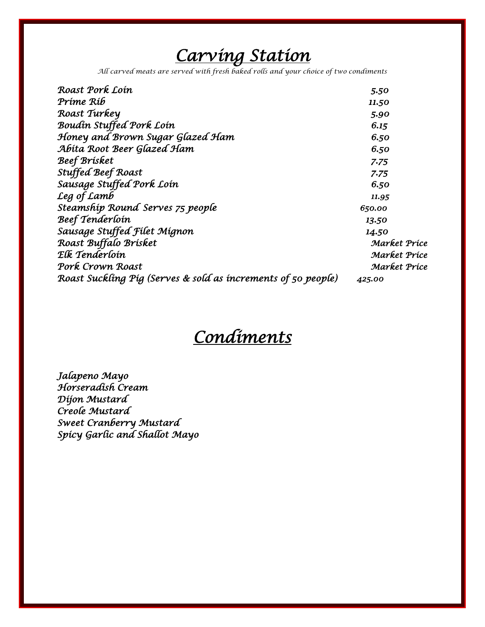# *Carving Station*

*All carved meats are served with fresh baked rolls and your choice of two condiments*

| Roast Pork Loin                                               | 5.50         |
|---------------------------------------------------------------|--------------|
| Príme Ríb                                                     | 11.50        |
| Roast Turkey                                                  | 5.90         |
| Boudin Stuffed Pork Loin                                      | 6.15         |
| Honey and Brown Sugar Glazed Ham                              | 6.50         |
| Abita Root Beer Glazed Ham                                    | 6.50         |
| Beef Brísket                                                  | 7.75         |
| <b>Stuffed Beef Roast</b>                                     | 7.75         |
| Sausage Stuffed Pork Loin                                     | 6.50         |
| Leg of Lamb                                                   | 11.95        |
| Steamship Round Serves 75 people                              | 650.00       |
| Beef Tenderloin                                               | 13.50        |
| Sausage Stuffed Filet Mignon                                  | 14.50        |
| Roast Buffalo Brísket                                         | Market Príce |
| Elk Tenderloin                                                | Market Príce |
| Pork Crown Roast                                              | Market Príce |
| Roast Suckling Pig (Serves & sold as increments of 50 people) | 425.00       |
|                                                               |              |

## *Condiments*

*Jalapeno Mayo Horseradish Cream Dijon Mustard Creole Mustard Sweet Cranberry Mustard Spicy Garlic and Shallot Mayo*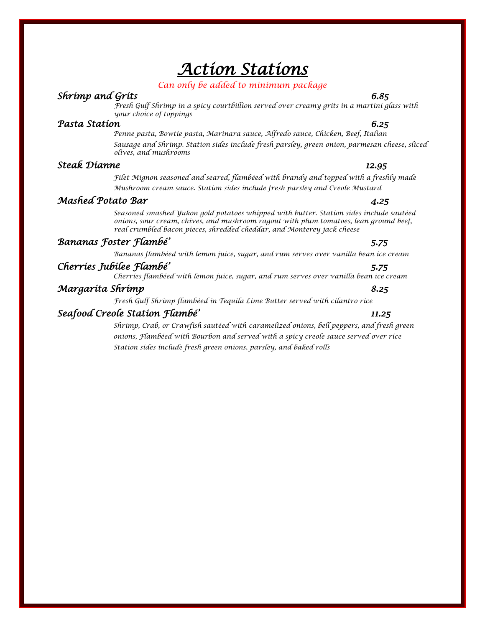## *Action Stations*

#### *Can only be added to minimum package*

### *Shrimp and Grits 6.85*

*Fresh Gulf Shrimp in a spicy courtbillion served over creamy grits in a martini glass with your choice of toppings*

#### *Pasta Station 6.25*

*Penne pasta, Bowtie pasta, Marinara sauce, Alfredo sauce, Chicken, Beef, Italian Sausage and Shrimp. Station sides include fresh parsley, green onion, parmesan cheese, sliced olives, and mushrooms*

### *Steak Dianne 12.95*

*Filet Mignon seasoned and seared, flambéed with brandy and topped with a freshly made Mushroom cream sauce. Station sides include fresh parsley and Creole Mustard*

### *Mashed Potato Bar 4.25*

*Seasoned smashed Yukon gold potatoes whipped with butter. Station sides include sautéed onions, sour cream, chives, and mushroom ragout with plum tomatoes, lean ground beef, real crumbled bacon pieces, shredded cheddar, and Monterey jack cheese*

### *Bananas Foster Flambé' 5.75*

*Bananas flambéed with lemon juice, sugar, and rum serves over vanilla bean ice cream*

## *Cherries Jubilee Flambé' 5.75*

*Cherries flambéed with lemon juice, sugar, and rum serves over vanilla bean ice cream*

### *Margarita Shrimp 8.25*

*Fresh Gulf Shrimp flambéed in Tequila Lime Butter served with cilantro rice*

### *Seafood Creole Station Flambé' 11.25*

*Shrimp, Crab, or Crawfish sautéed with caramelized onions, bell peppers, and fresh green onions, Flambéed with Bourbon and served with a spicy creole sauce served over rice Station sides include fresh green onions, parsley, and baked rolls*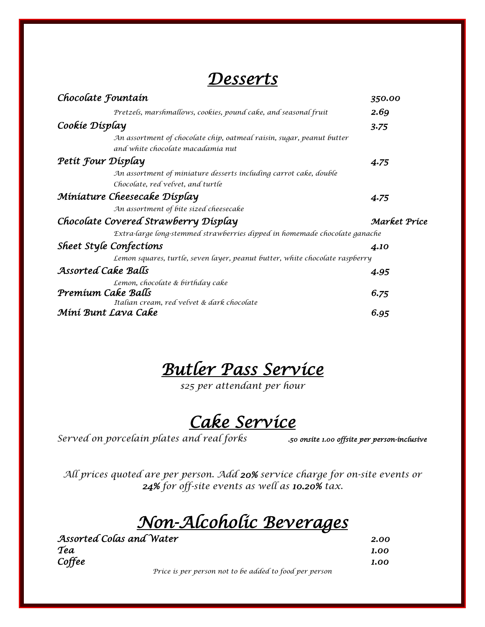## *Desserts*

| Chocolate Fountain                                                                                         | 350.00       |
|------------------------------------------------------------------------------------------------------------|--------------|
| Pretzels, marshmallows, cookies, pound cake, and seasonal fruit                                            | 2.69         |
| Cookie Display                                                                                             | 3.75         |
| An assortment of chocolate chip, oatmeal raisin, sugar, peanut butter<br>and white chocolate macadamia nut |              |
| Petit Four Display                                                                                         | 4.75         |
| An assortment of miniature desserts including carrot cake, double                                          |              |
| Chocolate, red velvet, and turtle                                                                          |              |
| Miniature Cheesecake Display                                                                               | 4.75         |
| An assortment of bite sized cheesecake                                                                     |              |
| Chocolate Covered Strawberry Display                                                                       | Market Príce |
| Extra-large long-stemmed strawberries dipped in homemade chocolate ganache                                 |              |
| <b>Sheet Style Confections</b>                                                                             | 4.10         |
| Lemon squares, turtle, seven layer, peanut butter, white chocolate raspberry                               |              |
| Assorted Cake Balls                                                                                        | 4.95         |
| Lemon, chocolate & birthday cake                                                                           |              |
| Premíum Cake Balls                                                                                         | 6.75         |
| Italian cream, red velvet & dark chocolate                                                                 |              |
| Míní Bunt Lava Cake                                                                                        | 6.95         |

*Butler Pass Service* 

*\$25 per attendant per hour*

## *Cake Service*

*Served on porcelain plates and real forks .50 onsite 1.00 offsite per person-inclusive* 

*All prices quoted are per person. Add 20% service charge for on-site events or 24% for off-site events as well as 10.20% tax.*

## *Non-Alcoholic Beverages*

*Assorted Colas and Water 2.00 Tea 1.00 Coffee 1.00* 

*Price is per person not to be added to food per person*